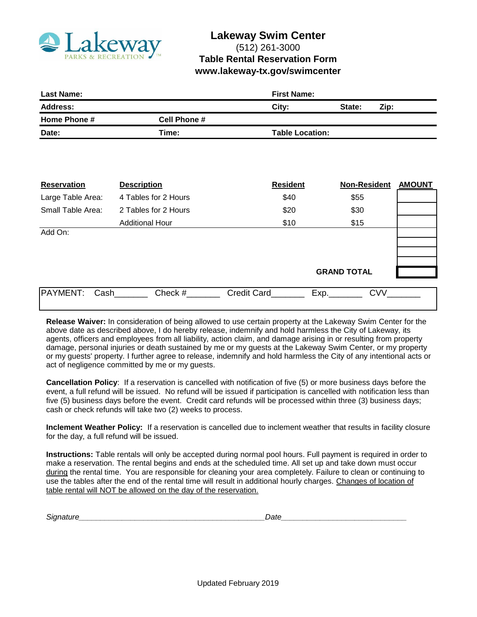

## **Lakeway Swim Center** (512) 261-3000 **Table Rental Reservation Form www.lakeway-tx.gov/swimcenter**

| <b>Last Name:</b>   |                        | <b>First Name:</b> |      |  |
|---------------------|------------------------|--------------------|------|--|
|                     | City:                  | State:             | Zip: |  |
| <b>Cell Phone #</b> |                        |                    |      |  |
| Time:               | <b>Table Location:</b> |                    |      |  |
|                     |                        |                    |      |  |
|                     |                        |                    |      |  |
|                     |                        |                    |      |  |
|                     |                        |                    |      |  |

| <b>Reservation</b> | <b>Description</b>     | <b>Resident</b>    | <b>Non-Resident</b> | <b>AMOUNT</b> |
|--------------------|------------------------|--------------------|---------------------|---------------|
| Large Table Area:  | 4 Tables for 2 Hours   | \$40               | \$55                |               |
| Small Table Area:  | 2 Tables for 2 Hours   | \$20               | \$30                |               |
|                    | <b>Additional Hour</b> | \$10               | \$15                |               |
| Add On:            |                        |                    |                     |               |
|                    |                        |                    |                     |               |
|                    |                        |                    |                     |               |
|                    |                        |                    | <b>GRAND TOTAL</b>  |               |
|                    |                        |                    |                     |               |
| PAYMENT:<br>Cash   | Check #                | <b>Credit Card</b> | <b>CVV</b><br>Exp.  |               |
|                    |                        |                    |                     |               |

**Release Waiver:** In consideration of being allowed to use certain property at the Lakeway Swim Center for the above date as described above, I do hereby release, indemnify and hold harmless the City of Lakeway, its agents, officers and employees from all liability, action claim, and damage arising in or resulting from property damage, personal injuries or death sustained by me or my guests at the Lakeway Swim Center, or my property or my guests' property. I further agree to release, indemnify and hold harmless the City of any intentional acts or act of negligence committed by me or my guests.

**Cancellation Policy**: If a reservation is cancelled with notification of five (5) or more business days before the event, a full refund will be issued. No refund will be issued if participation is cancelled with notification less than five (5) business days before the event. Credit card refunds will be processed within three (3) business days; cash or check refunds will take two (2) weeks to process.

**Inclement Weather Policy:** If a reservation is cancelled due to inclement weather that results in facility closure for the day, a full refund will be issued.

**Instructions:** Table rentals will only be accepted during normal pool hours. Full payment is required in order to make a reservation. The rental begins and ends at the scheduled time. All set up and take down must occur during the rental time. You are responsible for cleaning your area completely. Failure to clean or continuing to use the tables after the end of the rental time will result in additional hourly charges. Changes of location of table rental will NOT be allowed on the day of the reservation.

*Signature\_\_\_\_\_\_\_\_\_\_\_\_\_\_\_\_\_\_\_\_\_\_\_\_\_\_\_\_\_\_\_\_\_\_\_\_\_\_\_\_\_\_\_Date\_\_\_\_\_\_\_\_\_\_\_\_\_\_\_\_\_\_\_\_\_\_\_\_\_\_\_\_\_*